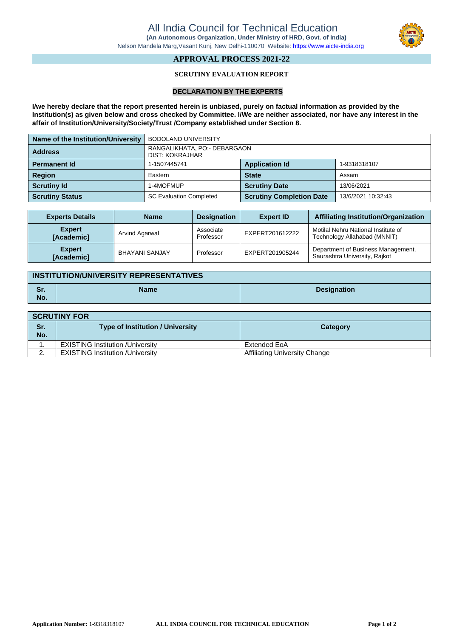

## **APPROVAL PROCESS 2021-22**

### **SCRUTINY EVALUATION REPORT**

#### **DECLARATION BY THE EXPERTS**

**I/we hereby declare that the report presented herein is unbiased, purely on factual information as provided by the Institution(s) as given below and cross checked by Committee. I/We are neither associated, nor have any interest in the affair of Institution/University/Society/Trust /Company established under Section 8.**

| Name of the Institution/University | <b>BODOLAND UNIVERSITY</b>                      |                                                       |            |  |
|------------------------------------|-------------------------------------------------|-------------------------------------------------------|------------|--|
| <b>Address</b>                     | RANGALIKHATA, PO:- DEBARGAON<br>DIST: KOKRAJHAR |                                                       |            |  |
| <b>Permanent Id</b>                | 1-1507445741                                    | <b>Application Id</b><br>1-9318318107                 |            |  |
| <b>Region</b>                      | Eastern                                         | <b>State</b>                                          | Assam      |  |
| <b>Scrutiny Id</b>                 | I-4MOFMUP                                       | <b>Scrutiny Date</b>                                  | 13/06/2021 |  |
| <b>Scrutiny Status</b>             | <b>SC Evaluation Completed</b>                  | <b>Scrutiny Completion Date</b><br>13/6/2021 10:32:43 |            |  |

| <b>Experts Details</b>      | <b>Name</b>           | <b>Designation</b>     | <b>Expert ID</b> | <b>Affiliating Institution/Organization</b>                         |
|-----------------------------|-----------------------|------------------------|------------------|---------------------------------------------------------------------|
| <b>Expert</b><br>[Academic] | Arvind Agarwal        | Associate<br>Professor | EXPERT201612222  | Motilal Nehru National Institute of<br>Technology Allahabad (MNNIT) |
| <b>Expert</b><br>[Academic] | <b>BHAYANI SANJAY</b> | Professor              | EXPERT201905244  | Department of Business Management,<br>Saurashtra University, Rajkot |

| <b>INSTITUTION/UNIVERSITY REPRESENTATIVES</b> |      |                    |
|-----------------------------------------------|------|--------------------|
| Sr.<br>No.                                    | Name | <b>Designation</b> |

|            | <b>SCRUTINY FOR</b>                      |                                      |  |
|------------|------------------------------------------|--------------------------------------|--|
| Sr.<br>No. | <b>Type of Institution / University</b>  | Category                             |  |
|            | <b>EXISTING Institution /University</b>  | Extended EoA                         |  |
|            | <b>EXISTING Institution / University</b> | <b>Affiliating University Change</b> |  |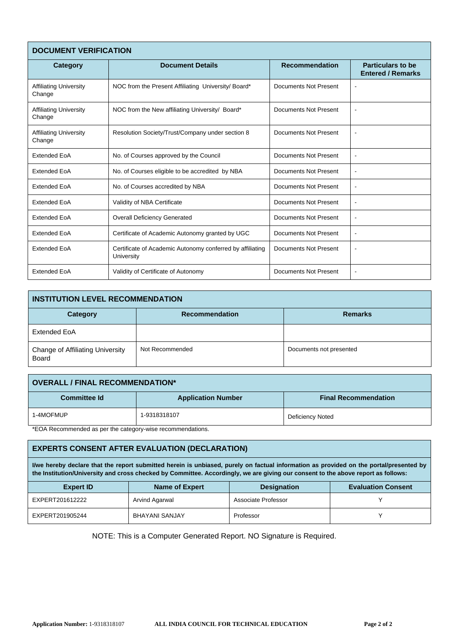| <b>DOCUMENT VERIFICATION</b>            |                                                                         |                       |                                                      |  |
|-----------------------------------------|-------------------------------------------------------------------------|-----------------------|------------------------------------------------------|--|
| Category                                | <b>Document Details</b>                                                 | <b>Recommendation</b> | <b>Particulars to be</b><br><b>Entered / Remarks</b> |  |
| <b>Affiliating University</b><br>Change | NOC from the Present Affiliating University/Board*                      | Documents Not Present |                                                      |  |
| <b>Affiliating University</b><br>Change | NOC from the New affiliating University/ Board*                         | Documents Not Present | $\blacksquare$                                       |  |
| <b>Affiliating University</b><br>Change | Resolution Society/Trust/Company under section 8                        | Documents Not Present | $\blacksquare$                                       |  |
| <b>Extended EoA</b>                     | No. of Courses approved by the Council                                  | Documents Not Present | $\blacksquare$                                       |  |
| <b>Extended EoA</b>                     | No. of Courses eligible to be accredited by NBA                         | Documents Not Present | $\blacksquare$                                       |  |
| <b>Extended EoA</b>                     | No. of Courses accredited by NBA                                        | Documents Not Present | $\sim$                                               |  |
| <b>Extended EoA</b>                     | Validity of NBA Certificate                                             | Documents Not Present | $\blacksquare$                                       |  |
| Extended EoA                            | <b>Overall Deficiency Generated</b>                                     | Documents Not Present | $\overline{\phantom{a}}$                             |  |
| <b>Extended EoA</b>                     | Certificate of Academic Autonomy granted by UGC                         | Documents Not Present | $\blacksquare$                                       |  |
| <b>Extended EoA</b>                     | Certificate of Academic Autonomy conferred by affiliating<br>University | Documents Not Present |                                                      |  |
| <b>Extended EoA</b>                     | Validity of Certificate of Autonomy                                     | Documents Not Present | $\blacksquare$                                       |  |

| <b>INSTITUTION LEVEL RECOMMENDATION</b>                 |                       |                         |  |  |
|---------------------------------------------------------|-----------------------|-------------------------|--|--|
| Category                                                | <b>Recommendation</b> | <b>Remarks</b>          |  |  |
| Extended EoA                                            |                       |                         |  |  |
| <b>Change of Affiliating University</b><br><b>Board</b> | Not Recommended       | Documents not presented |  |  |

| <b>OVERALL / FINAL RECOMMENDATION*</b> |                           |                             |
|----------------------------------------|---------------------------|-----------------------------|
| <b>Committee Id</b>                    | <b>Application Number</b> | <b>Final Recommendation</b> |
| -4MOFMUP                               | 1-9318318107              | Deficiency Noted            |

\*EOA Recommended as per the category-wise recommendations.

# **EXPERTS CONSENT AFTER EVALUATION (DECLARATION)**

I/we hereby declare that the report submitted herein is unbiased, purely on factual information as provided on the portal/presented by the Institution/University and cross checked by Committee. Accordingly, we are giving our consent to the above report as follows:

| <b>Expert ID</b> | Name of Expert        | <b>Designation</b>  | <b>Evaluation Consent</b> |
|------------------|-----------------------|---------------------|---------------------------|
| EXPERT201612222  | Arvind Agarwal        | Associate Professor |                           |
| EXPERT201905244  | <b>BHAYANI SANJAY</b> | Professor           |                           |

NOTE: This is a Computer Generated Report. NO Signature is Required.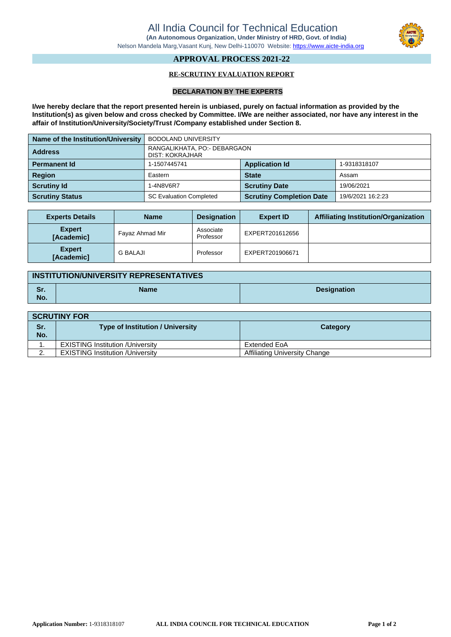

## **APPROVAL PROCESS 2021-22**

### **RE-SCRUTINY EVALUATION REPORT**

#### **DECLARATION BY THE EXPERTS**

**I/we hereby declare that the report presented herein is unbiased, purely on factual information as provided by the Institution(s) as given below and cross checked by Committee. I/We are neither associated, nor have any interest in the affair of Institution/University/Society/Trust /Company established under Section 8.**

| Name of the Institution/University | <b>BODOLAND UNIVERSITY</b>                      |                                       |                   |  |
|------------------------------------|-------------------------------------------------|---------------------------------------|-------------------|--|
| <b>Address</b>                     | RANGALIKHATA, PO:- DEBARGAON<br>DIST: KOKRAJHAR |                                       |                   |  |
| <b>Permanent Id</b>                | 1-1507445741                                    | <b>Application Id</b><br>1-9318318107 |                   |  |
| <b>Region</b>                      | Eastern                                         | <b>State</b>                          | Assam             |  |
| <b>Scrutiny Id</b>                 | 1-4N8V6R7                                       | <b>Scrutiny Date</b>                  | 19/06/2021        |  |
| <b>Scrutiny Status</b>             | <b>SC Evaluation Completed</b>                  | <b>Scrutiny Completion Date</b>       | 19/6/2021 16:2:23 |  |

| <b>Experts Details</b>             | <b>Name</b>     | <b>Designation</b>     | <b>Expert ID</b> | <b>Affiliating Institution/Organization</b> |
|------------------------------------|-----------------|------------------------|------------------|---------------------------------------------|
| <b>Expert</b><br>[Academic]        | Fayaz Ahmad Mir | Associate<br>Professor | EXPERT201612656  |                                             |
| <b>Expert</b><br><b>[Academic]</b> | <b>G BALAJI</b> | Professor              | EXPERT201906671  |                                             |

| <b>INSTITUTION/UNIVERSITY REPRESENTATIVES</b> |             |                    |
|-----------------------------------------------|-------------|--------------------|
| Sr.<br>No.                                    | <b>Name</b> | <b>Designation</b> |

| <b>SCRUTINY FOR</b> |                                          |                                      |
|---------------------|------------------------------------------|--------------------------------------|
| Sr.<br>No.          | <b>Type of Institution / University</b>  | Category                             |
|                     | <b>EXISTING Institution / University</b> | Extended EoA                         |
| ◠                   | <b>EXISTING Institution / University</b> | <b>Affiliating University Change</b> |